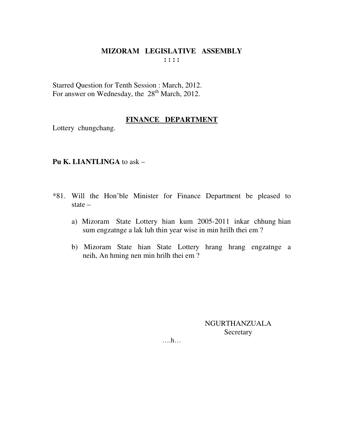Starred Question for Tenth Session : March, 2012. For answer on Wednesday, the 28<sup>th</sup> March, 2012.

### **FINANCE DEPARTMENT**

Lottery chungchang.

### **Pu K. LIANTLINGA** to ask –

- \*81. Will the Hon'ble Minister for Finance Department be pleased to state –
	- a) Mizoram State Lottery hian kum 2005-2011 inkar chhung hian sum engzatnge a lak luh thin year wise in min hrilh thei em ?
	- b) Mizoram State hian State Lottery hrang hrang engzatnge a neih, An hming nen min hrilh thei em ?

NGURTHANZUALA **Secretary**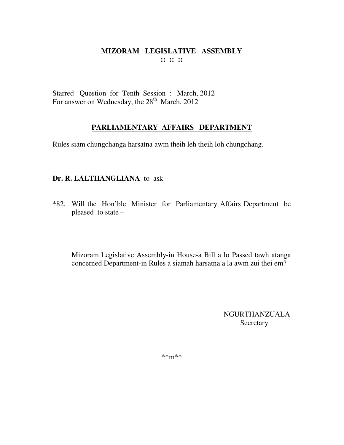Starred Question for Tenth Session : March, 2012 For answer on Wednesday, the 28<sup>th</sup> March, 2012

# **PARLIAMENTARY AFFAIRS DEPARTMENT**

Rules siam chungchanga harsatna awm theih leh theih loh chungchang.

# **Dr. R. LALTHANGLIANA** to ask –

\*82. Will the Hon'ble Minister for Parliamentary Affairs Department be pleased to state –

Mizoram Legislative Assembly-in House-a Bill a lo Passed tawh atanga concerned Department-in Rules a siamah harsatna a la awm zui thei em?

> NGURTHANZUALA **Secretary**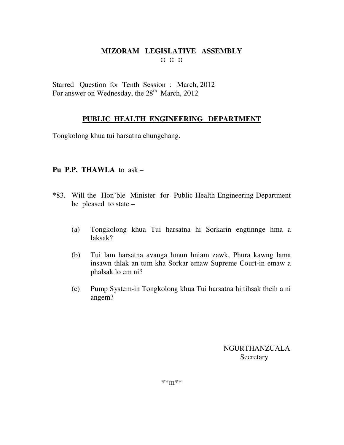Starred Question for Tenth Session : March, 2012 For answer on Wednesday, the  $28<sup>th</sup>$  March, 2012

### **PUBLIC HEALTH ENGINEERING DEPARTMENT**

Tongkolong khua tui harsatna chungchang.

### **Pu P.P. THAWLA** to ask –

- \*83. Will the Hon'ble Minister for Public Health Engineering Department be pleased to state –
	- (a) Tongkolong khua Tui harsatna hi Sorkarin engtinnge hma a laksak?
	- (b) Tui lam harsatna avanga hmun hniam zawk, Phura kawng lama insawn thlak an tum kha Sorkar emaw Supreme Court-in emaw a phalsak lo em ni?
	- (c) Pump System-in Tongkolong khua Tui harsatna hi tihsak theih a ni angem?

NGURTHANZUALA Secretary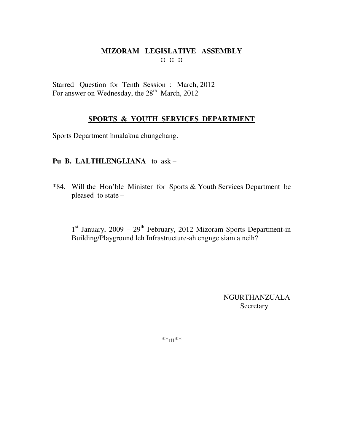Starred Question for Tenth Session : March, 2012 For answer on Wednesday, the  $28<sup>th</sup>$  March, 2012

### **SPORTS & YOUTH SERVICES DEPARTMENT**

Sports Department hmalakna chungchang.

### **Pu B. LALTHLENGLIANA** to ask –

\*84. Will the Hon'ble Minister for Sports & Youth Services Department be pleased to state –

1<sup>st</sup> January, 2009 – 29<sup>th</sup> February, 2012 Mizoram Sports Department-in Building/Playground leh Infrastructure-ah engnge siam a neih?

> NGURTHANZUALA Secretary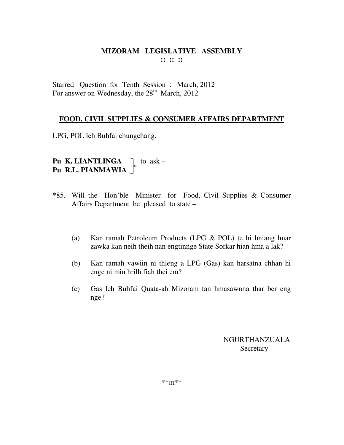Starred Question for Tenth Session : March, 2012 For answer on Wednesday, the  $28<sup>th</sup>$  March, 2012

## **FOOD, CIVIL SUPPLIES & CONSUMER AFFAIRS DEPARTMENT**

LPG, POL leh Buhfai chungchang.

**Pu K. LIANTLINGA**  $\bigcap$  to ask – **Pu R.L. PIANMAWIA**

- \*85. Will the Hon'ble Minister for Food, Civil Supplies & Consumer Affairs Department be pleased to state –
	- (a) Kan ramah Petroleum Products (LPG & POL) te hi hniang hnar zawka kan neih theih nan engtinnge State Sorkar hian hma a lak?
	- (b) Kan ramah vawiin ni thleng a LPG (Gas) kan harsatna chhan hi enge ni min hrilh fiah thei em?
	- (c) Gas leh Buhfai Quata-ah Mizoram tan hmasawnna thar ber eng nge?

NGURTHANZUALA Secretary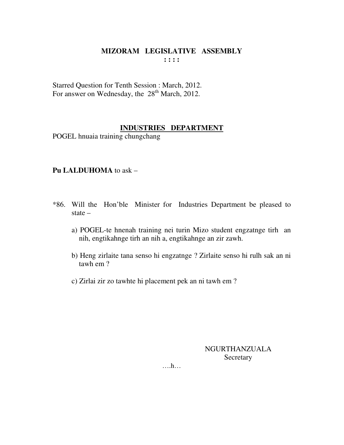Starred Question for Tenth Session : March, 2012. For answer on Wednesday, the 28<sup>th</sup> March, 2012.

### **INDUSTRIES DEPARTMENT**

POGEL hnuaia training chungchang

### **Pu LALDUHOMA** to ask –

- \*86. Will the Hon'ble Minister for Industries Department be pleased to state –
	- a) POGEL-te hnenah training nei turin Mizo student engzatnge tirh an nih, engtikahnge tirh an nih a, engtikahnge an zir zawh.
	- b) Heng zirlaite tana senso hi engzatnge ? Zirlaite senso hi rulh sak an ni tawh em ?
	- c) Zirlai zir zo tawhte hi placement pek an ni tawh em ?

NGURTHANZUALA **Secretary**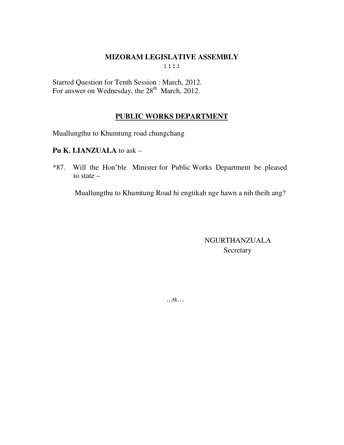Starred Question for Tenth Session : March, 2012. For answer on Wednesday, the 28<sup>th</sup> March, 2012.

# **PUBLIC WORKS DEPARTMENT**

Muallungthu to Khumtung road chungchang

**Pu K. LIANZUALA** to ask –

\*87. Will the Hon'ble Minister for Public Works Department be pleased to state –

Muallungthu to Khumtung Road hi engtikah nge hawn a nih theih ang?

 NGURTHANZUALA Secretary

...st…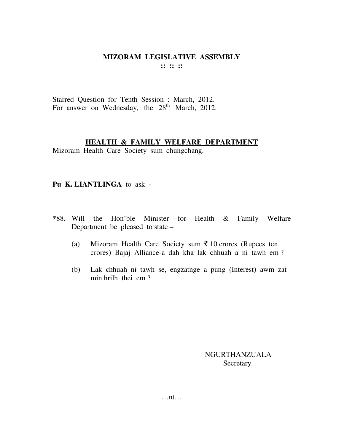Starred Question for Tenth Session : March, 2012. For answer on Wednesday, the  $28<sup>th</sup>$  March, 2012.

#### **HEALTH & FAMILY WELFARE DEPARTMENT**

Mizoram Health Care Society sum chungchang.

#### **Pu K. LIANTLINGA** to ask -

- \*88. Will the Hon'ble Minister for Health & Family Welfare Department be pleased to state –
	- (a) Mizoram Health Care Society sum  $\bar{\tau}$  10 crores (Rupees ten crores) Bajaj Alliance-a dah kha lak chhuah a ni tawh em ?
	- (b) Lak chhuah ni tawh se, engzatnge a pung (Interest) awm zat min hrilh thei em ?

NGURTHANZUALA Secretary.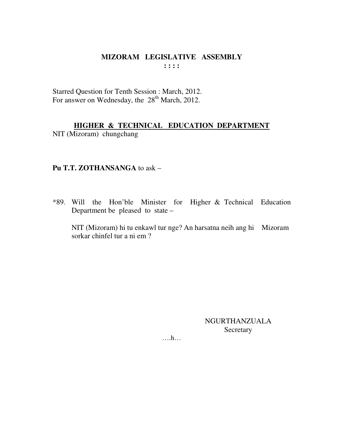#### MIZORAM LEGISLATIVE ASSEMBLY  $\mathbf{1}$ :  $\mathbf{1}$

Starred Question for Tenth Session : March, 2012. For answer on Wednesday, the 28<sup>th</sup> March, 2012.

HIGHER & TECHNICAL EDUCATION DEPARTMENT NIT (Mizoram) chungchang

## Pu T.T. ZOTHANSANGA to ask -

\*89. Will the Hon'ble Minister for Higher & Technical Education Department be pleased to state –

NIT (Mizoram) hi tu enkawl tur nge? An harsatna neih ang hi Mizoram sorkar chinfel tur a ni em ?

> NGURTHANZUALA Secretary

 $\dots$ h $\dots$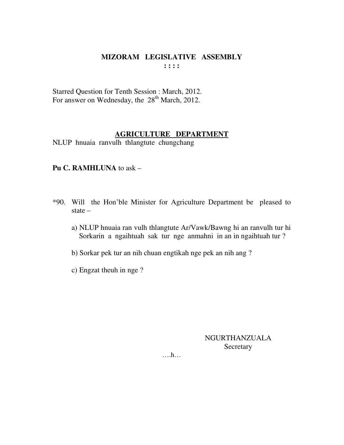Starred Question for Tenth Session : March, 2012. For answer on Wednesday, the 28<sup>th</sup> March, 2012.

# **AGRICULTURE DEPARTMENT**

NLUP hnuaia ranvulh thlangtute chungchang

## **Pu C. RAMHLUNA** to ask –

- \*90. Will the Hon'ble Minister for Agriculture Department be pleased to state –
	- a) NLUP hnuaia ran vulh thlangtute Ar/Vawk/Bawng hi an ranvulh tur hi Sorkarin a ngaihtuah sak tur nge anmahni in an in ngaihtuah tur ?
	- b) Sorkar pek tur an nih chuan engtikah nge pek an nih ang ?
	- c) Engzat theuh in nge ?

NGURTHANZUALA **Secretary**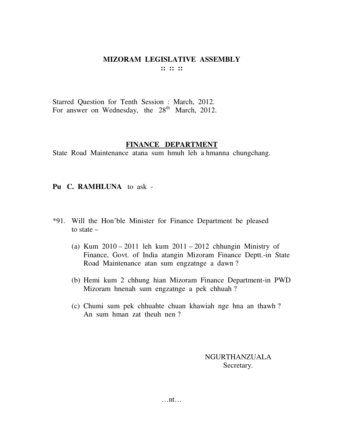Starred Question for Tenth Session : March, 2012. For answer on Wednesday, the  $28<sup>th</sup>$  March, 2012.

#### **FINANCE DEPARTMENT**

State Road Maintenance atana sum hmuh leh a hmanna chungchang.

### **Pu C. RAMHLUNA** to ask -

- \*91. Will the Hon'ble Minister for Finance Department be pleased to state –
	- (a) Kum 2010 2011 leh kum 2011 2012 chhungin Ministry of Finance, Govt. of India atangin Mizoram Finance Deptt.-in State Road Maintenance atan sum engzatnge a dawn ?
	- (b) Hemi kum 2 chhung hian Mizoram Finance Department-in PWD Mizoram hnenah sum engzatnge a pek chhuah ?
	- (c) Chumi sum pek chhuahte chuan khawiah nge hna an thawh ? An sum hman zat theuh nen ?

NGURTHANZUALA Secretary.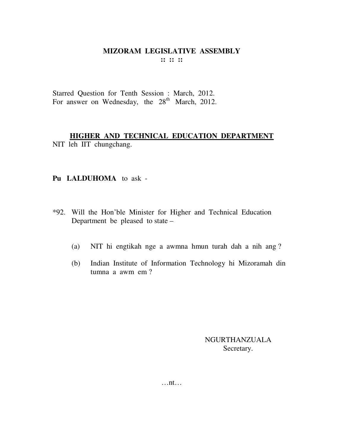Starred Question for Tenth Session : March, 2012. For answer on Wednesday, the  $28<sup>th</sup>$  March, 2012.

**HIGHER AND TECHNICAL EDUCATION DEPARTMENT** NIT leh IIT chungchang.

### **Pu LALDUHOMA** to ask -

- \*92. Will the Hon'ble Minister for Higher and Technical Education Department be pleased to state –
	- (a) NIT hi engtikah nge a awmna hmun turah dah a nih ang ?
	- (b) Indian Institute of Information Technology hi Mizoramah din tumna a awm em ?

NGURTHANZUALA Secretary.

…nt…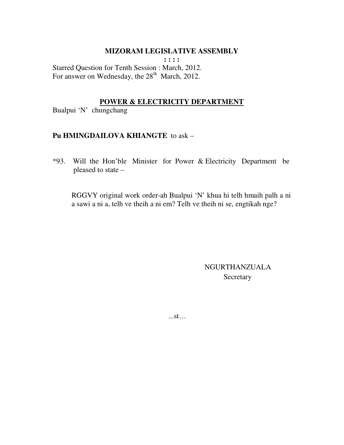#### **MIZORAM LEGISLATIVE ASSEMBLY**

**: : : :**  Starred Question for Tenth Session : March, 2012. For answer on Wednesday, the 28<sup>th</sup> March, 2012.

#### **POWER & ELECTRICITY DEPARTMENT**

Bualpui 'N' chungchang

#### **Pu HMINGDAILOVA KHIANGTE** to ask –

\*93. Will the Hon'ble Minister for Power & Electricity Department be pleased to state –

 RGGVY original work order-ah Bualpui 'N' khua hi telh hmaih palh a ni a sawi a ni a, telh ve theih a ni em? Telh ve theih ni se, engtikah nge?

> NGURTHANZUALA **Secretary**

...st…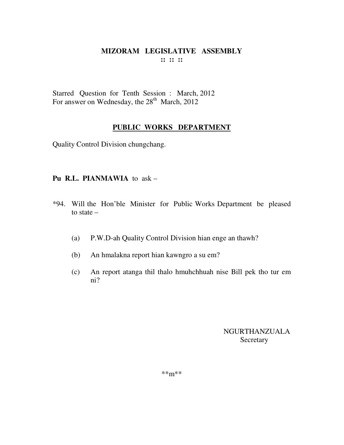Starred Question for Tenth Session : March, 2012 For answer on Wednesday, the 28<sup>th</sup> March, 2012

# **PUBLIC WORKS DEPARTMENT**

Quality Control Division chungchang.

## **Pu R.L. PIANMAWIA** to ask –

- \*94. Will the Hon'ble Minister for Public Works Department be pleased to state –
	- (a) P.W.D-ah Quality Control Division hian enge an thawh?
	- (b) An hmalakna report hian kawngro a su em?
	- (c) An report atanga thil thalo hmuhchhuah nise Bill pek tho tur em ni?

NGURTHANZUALA **Secretary**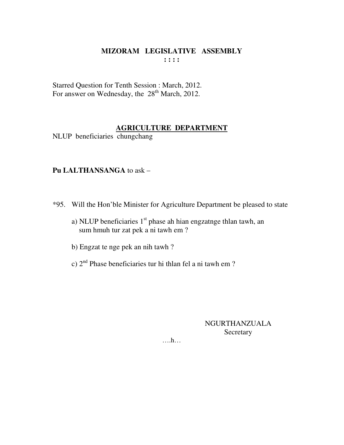Starred Question for Tenth Session : March, 2012. For answer on Wednesday, the 28<sup>th</sup> March, 2012.

### **AGRICULTURE DEPARTMENT**

NLUP beneficiaries chungchang

### **Pu LALTHANSANGA** to ask –

- \*95. Will the Hon'ble Minister for Agriculture Department be pleased to state
	- a) NLUP beneficiaries 1<sup>st</sup> phase ah hian engzatnge thlan tawh, an sum hmuh tur zat pek a ni tawh em ?
	- b) Engzat te nge pek an nih tawh ?
	- c) 2nd Phase beneficiaries tur hi thlan fel a ni tawh em ?

### NGURTHANZUALA **Secretary**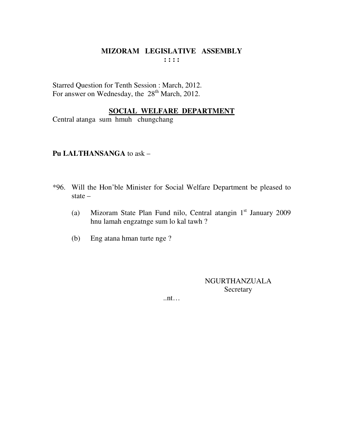Starred Question for Tenth Session : March, 2012. For answer on Wednesday, the 28<sup>th</sup> March, 2012.

### **SOCIAL WELFARE DEPARTMENT**

Central atanga sum hmuh chungchang

### **Pu LALTHANSANGA** to ask –

- \*96. Will the Hon'ble Minister for Social Welfare Department be pleased to state –
- (a) Mizoram State Plan Fund nilo, Central atangin 1 st January 2009 hnu lamah engzatnge sum lo kal tawh ?
	- (b) Eng atana hman turte nge ?

NGURTHANZUALA Secretary

..nt…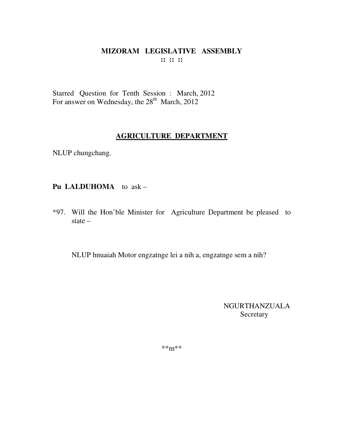### MIZORAM LEGISLATIVE ASSEMBLY  $\cdots$   $\cdots$   $\cdots$

Starred Question for Tenth Session : March, 2012 For answer on Wednesday, the 28<sup>th</sup> March, 2012

### **AGRICULTURE DEPARTMENT**

NLUP chungchang.

# Pu LALDUHOMA to ask -

\*97. Will the Hon'ble Minister for Agriculture Department be pleased to state  $-$ 

NLUP hnuaiah Motor engzatnge lei a nih a, engzatnge sem a nih?

**NGURTHANZUALA** Secretary

 $***m***$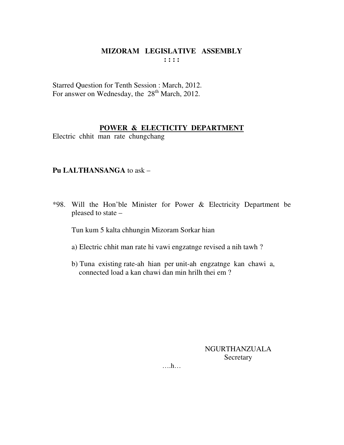Starred Question for Tenth Session : March, 2012. For answer on Wednesday, the 28<sup>th</sup> March, 2012.

### **POWER & ELECTICITY DEPARTMENT**

Electric chhit man rate chungchang

### **Pu LALTHANSANGA** to ask –

\*98. Will the Hon'ble Minister for Power & Electricity Department be pleased to state –

Tun kum 5 kalta chhungin Mizoram Sorkar hian

- a) Electric chhit man rate hi vawi engzatnge revised a nih tawh ?
- b) Tuna existing rate-ah hian per unit-ah engzatnge kan chawi a, connected load a kan chawi dan min hrilh thei em ?

NGURTHANZUALA **Secretary**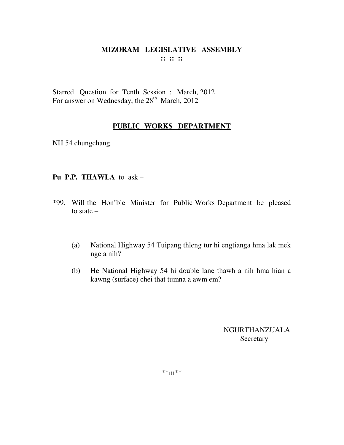Starred Question for Tenth Session : March, 2012 For answer on Wednesday, the 28<sup>th</sup> March, 2012

# **PUBLIC WORKS DEPARTMENT**

NH 54 chungchang.

## **Pu P.P. THAWLA** to ask –

- \*99. Will the Hon'ble Minister for Public Works Department be pleased to state –
	- (a) National Highway 54 Tuipang thleng tur hi engtianga hma lak mek nge a nih?
	- (b) He National Highway 54 hi double lane thawh a nih hma hian a kawng (surface) chei that tumna a awm em?

NGURTHANZUALA **Secretary**